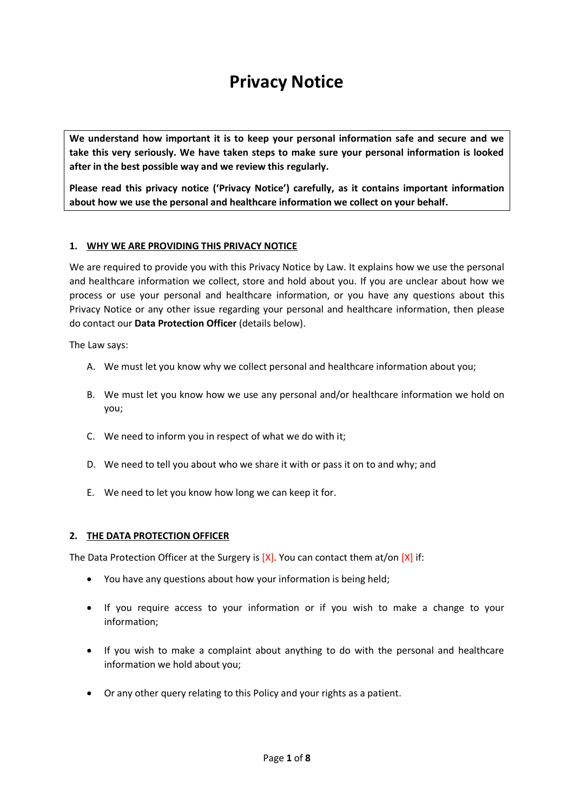# **Privacy Notice**

**We understand how important it is to keep your personal information safe and secure and we take this very seriously. We have taken steps to make sure your personal information is looked after in the best possible way and we review this regularly.**

**Please read this privacy notice ('Privacy Notice') carefully, as it contains important information about how we use the personal and healthcare information we collect on your behalf.**

## **1. WHY WE ARE PROVIDING THIS PRIVACY NOTICE**

We are required to provide you with this Privacy Notice by Law. It explains how we use the personal and healthcare information we collect, store and hold about you. If you are unclear about how we process or use your personal and healthcare information, or you have any questions about this Privacy Notice or any other issue regarding your personal and healthcare information, then please do contact our **Data Protection Officer** (details below).

The Law says:

- A. We must let you know why we collect personal and healthcare information about you;
- B. We must let you know how we use any personal and/or healthcare information we hold on you;
- C. We need to inform you in respect of what we do with it;
- D. We need to tell you about who we share it with or pass it on to and why; and
- E. We need to let you know how long we can keep it for.

#### **2. THE DATA PROTECTION OFFICER**

The Data Protection Officer at the Surgery is  $[X]$ . You can contact them at/on  $[X]$  if:

- You have any questions about how your information is being held;
- If you require access to your information or if you wish to make a change to your information;
- If you wish to make a complaint about anything to do with the personal and healthcare information we hold about you;
- Or any other query relating to this Policy and your rights as a patient.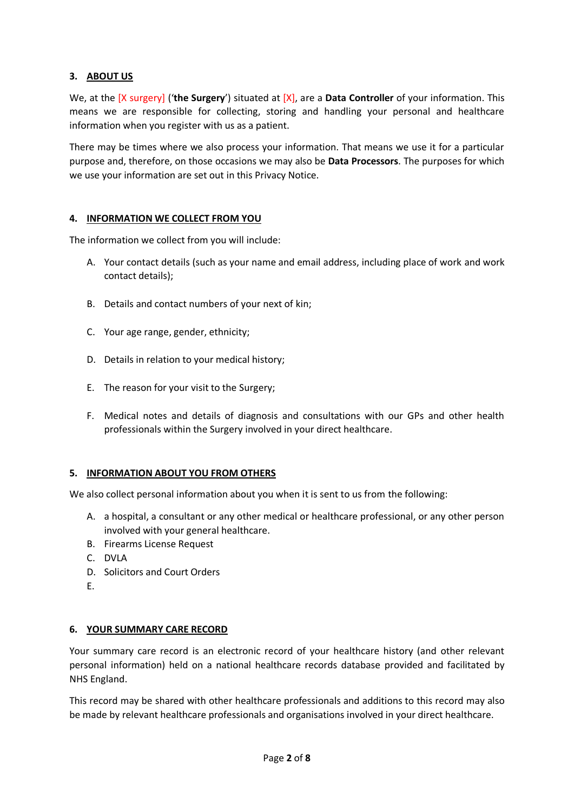## **3. ABOUT US**

We, at the [X surgery] ('**the Surgery**') situated at [X], are a **Data Controller** of your information. This means we are responsible for collecting, storing and handling your personal and healthcare information when you register with us as a patient.

There may be times where we also process your information. That means we use it for a particular purpose and, therefore, on those occasions we may also be **Data Processors**. The purposes for which we use your information are set out in this Privacy Notice.

## **4. INFORMATION WE COLLECT FROM YOU**

The information we collect from you will include:

- A. Your contact details (such as your name and email address, including place of work and work contact details);
- B. Details and contact numbers of your next of kin;
- C. Your age range, gender, ethnicity;
- D. Details in relation to your medical history;
- E. The reason for your visit to the Surgery;
- F. Medical notes and details of diagnosis and consultations with our GPs and other health professionals within the Surgery involved in your direct healthcare.

## **5. INFORMATION ABOUT YOU FROM OTHERS**

We also collect personal information about you when it is sent to us from the following:

- A. a hospital, a consultant or any other medical or healthcare professional, or any other person involved with your general healthcare.
- B. Firearms License Request
- C. DVLA
- D. Solicitors and Court Orders
- E.

## **6. YOUR SUMMARY CARE RECORD**

Your summary care record is an electronic record of your healthcare history (and other relevant personal information) held on a national healthcare records database provided and facilitated by NHS England.

This record may be shared with other healthcare professionals and additions to this record may also be made by relevant healthcare professionals and organisations involved in your direct healthcare.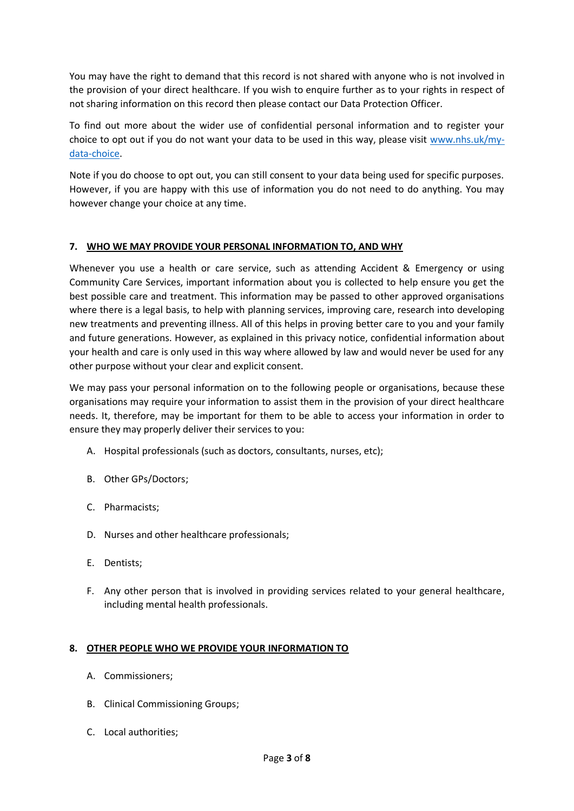You may have the right to demand that this record is not shared with anyone who is not involved in the provision of your direct healthcare. If you wish to enquire further as to your rights in respect of not sharing information on this record then please contact our Data Protection Officer.

To find out more about the wider use of confidential personal information and to register your choice to opt out if you do not want your data to be used in this way, please visit [www.nhs.uk/my](http://www.nhs.uk/my-data-choice)[data-choice.](http://www.nhs.uk/my-data-choice)

Note if you do choose to opt out, you can still consent to your data being used for specific purposes. However, if you are happy with this use of information you do not need to do anything. You may however change your choice at any time.

## **7. WHO WE MAY PROVIDE YOUR PERSONAL INFORMATION TO, AND WHY**

Whenever you use a health or care service, such as attending Accident & Emergency or using Community Care Services, important information about you is collected to help ensure you get the best possible care and treatment. This information may be passed to other approved organisations where there is a legal basis, to help with planning services, improving care, research into developing new treatments and preventing illness. All of this helps in proving better care to you and your family and future generations. However, as explained in this privacy notice, confidential information about your health and care is only used in this way where allowed by law and would never be used for any other purpose without your clear and explicit consent.

We may pass your personal information on to the following people or organisations, because these organisations may require your information to assist them in the provision of your direct healthcare needs. It, therefore, may be important for them to be able to access your information in order to ensure they may properly deliver their services to you:

- A. Hospital professionals (such as doctors, consultants, nurses, etc);
- B. Other GPs/Doctors;
- C. Pharmacists;
- D. Nurses and other healthcare professionals;
- E. Dentists;
- F. Any other person that is involved in providing services related to your general healthcare, including mental health professionals.

## **8. OTHER PEOPLE WHO WE PROVIDE YOUR INFORMATION TO**

- A. Commissioners;
- B. Clinical Commissioning Groups;
- C. Local authorities;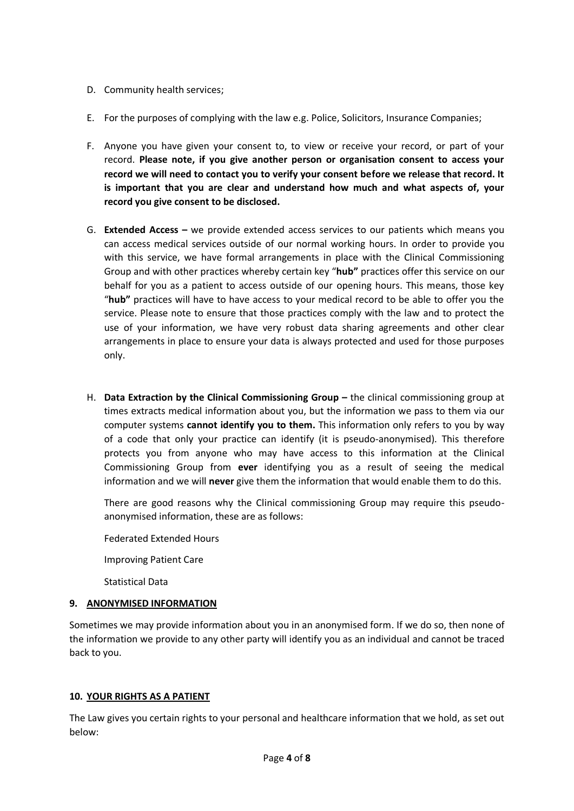- D. Community health services;
- E. For the purposes of complying with the law e.g. Police, Solicitors, Insurance Companies;
- F. Anyone you have given your consent to, to view or receive your record, or part of your record. **Please note, if you give another person or organisation consent to access your record we will need to contact you to verify your consent before we release that record. It is important that you are clear and understand how much and what aspects of, your record you give consent to be disclosed.**
- G. **Extended Access –** we provide extended access services to our patients which means you can access medical services outside of our normal working hours. In order to provide you with this service, we have formal arrangements in place with the Clinical Commissioning Group and with other practices whereby certain key "**hub"** practices offer this service on our behalf for you as a patient to access outside of our opening hours. This means, those key "**hub"** practices will have to have access to your medical record to be able to offer you the service. Please note to ensure that those practices comply with the law and to protect the use of your information, we have very robust data sharing agreements and other clear arrangements in place to ensure your data is always protected and used for those purposes only.
- H. **Data Extraction by the Clinical Commissioning Group –** the clinical commissioning group at times extracts medical information about you, but the information we pass to them via our computer systems **cannot identify you to them.** This information only refers to you by way of a code that only your practice can identify (it is pseudo-anonymised). This therefore protects you from anyone who may have access to this information at the Clinical Commissioning Group from **ever** identifying you as a result of seeing the medical information and we will **never** give them the information that would enable them to do this.

There are good reasons why the Clinical commissioning Group may require this pseudoanonymised information, these are as follows:

Federated Extended Hours

Improving Patient Care

Statistical Data

## **9. ANONYMISED INFORMATION**

Sometimes we may provide information about you in an anonymised form. If we do so, then none of the information we provide to any other party will identify you as an individual and cannot be traced back to you.

## **10. YOUR RIGHTS AS A PATIENT**

The Law gives you certain rights to your personal and healthcare information that we hold, as set out below: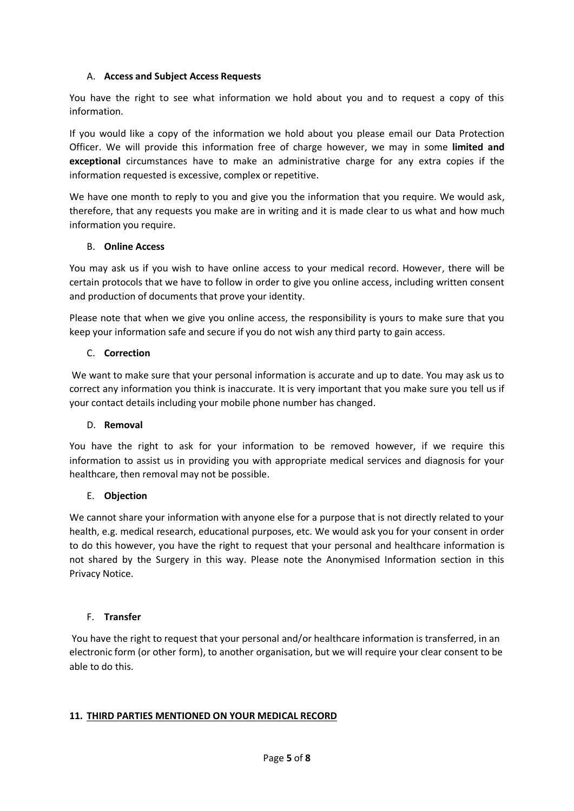## A. **Access and Subject Access Requests**

You have the right to see what information we hold about you and to request a copy of this information.

If you would like a copy of the information we hold about you please email our Data Protection Officer. We will provide this information free of charge however, we may in some **limited and exceptional** circumstances have to make an administrative charge for any extra copies if the information requested is excessive, complex or repetitive.

We have one month to reply to you and give you the information that you require. We would ask, therefore, that any requests you make are in writing and it is made clear to us what and how much information you require.

## B. **Online Access**

You may ask us if you wish to have online access to your medical record. However, there will be certain protocols that we have to follow in order to give you online access, including written consent and production of documents that prove your identity.

Please note that when we give you online access, the responsibility is yours to make sure that you keep your information safe and secure if you do not wish any third party to gain access.

## C. **Correction**

We want to make sure that your personal information is accurate and up to date. You may ask us to correct any information you think is inaccurate. It is very important that you make sure you tell us if your contact details including your mobile phone number has changed.

#### D. **Removal**

You have the right to ask for your information to be removed however, if we require this information to assist us in providing you with appropriate medical services and diagnosis for your healthcare, then removal may not be possible.

#### E. **Objection**

We cannot share your information with anyone else for a purpose that is not directly related to your health, e.g. medical research, educational purposes, etc. We would ask you for your consent in order to do this however, you have the right to request that your personal and healthcare information is not shared by the Surgery in this way. Please note the Anonymised Information section in this Privacy Notice.

## F. **Transfer**

You have the right to request that your personal and/or healthcare information is transferred, in an electronic form (or other form), to another organisation, but we will require your clear consent to be able to do this.

#### **11. THIRD PARTIES MENTIONED ON YOUR MEDICAL RECORD**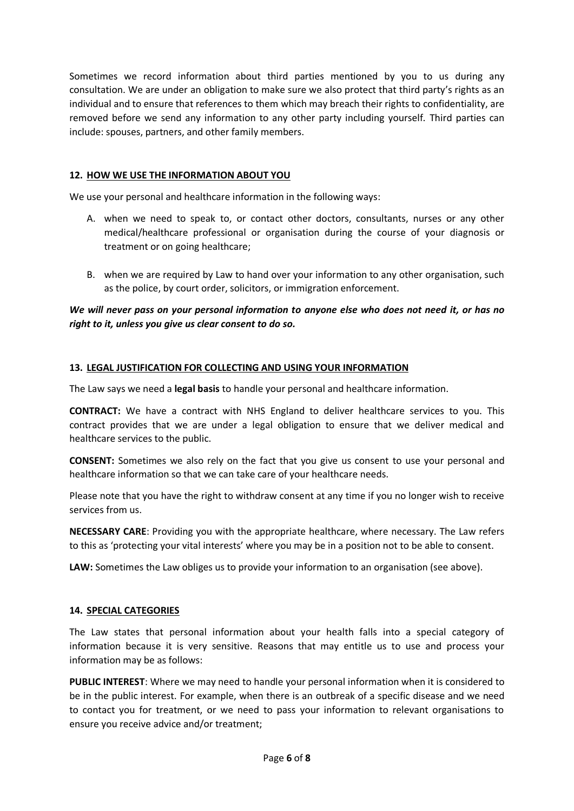Sometimes we record information about third parties mentioned by you to us during any consultation. We are under an obligation to make sure we also protect that third party's rights as an individual and to ensure that references to them which may breach their rights to confidentiality, are removed before we send any information to any other party including yourself. Third parties can include: spouses, partners, and other family members.

## **12. HOW WE USE THE INFORMATION ABOUT YOU**

We use your personal and healthcare information in the following ways:

- A. when we need to speak to, or contact other doctors, consultants, nurses or any other medical/healthcare professional or organisation during the course of your diagnosis or treatment or on going healthcare;
- B. when we are required by Law to hand over your information to any other organisation, such as the police, by court order, solicitors, or immigration enforcement.

# *We will never pass on your personal information to anyone else who does not need it, or has no right to it, unless you give us clear consent to do so.*

## **13. LEGAL JUSTIFICATION FOR COLLECTING AND USING YOUR INFORMATION**

The Law says we need a **legal basis** to handle your personal and healthcare information.

**CONTRACT:** We have a contract with NHS England to deliver healthcare services to you. This contract provides that we are under a legal obligation to ensure that we deliver medical and healthcare services to the public.

**CONSENT:** Sometimes we also rely on the fact that you give us consent to use your personal and healthcare information so that we can take care of your healthcare needs.

Please note that you have the right to withdraw consent at any time if you no longer wish to receive services from us.

**NECESSARY CARE**: Providing you with the appropriate healthcare, where necessary. The Law refers to this as 'protecting your vital interests' where you may be in a position not to be able to consent.

**LAW:** Sometimes the Law obliges us to provide your information to an organisation (see above).

#### **14. SPECIAL CATEGORIES**

The Law states that personal information about your health falls into a special category of information because it is very sensitive. Reasons that may entitle us to use and process your information may be as follows:

**PUBLIC INTEREST**: Where we may need to handle your personal information when it is considered to be in the public interest. For example, when there is an outbreak of a specific disease and we need to contact you for treatment, or we need to pass your information to relevant organisations to ensure you receive advice and/or treatment;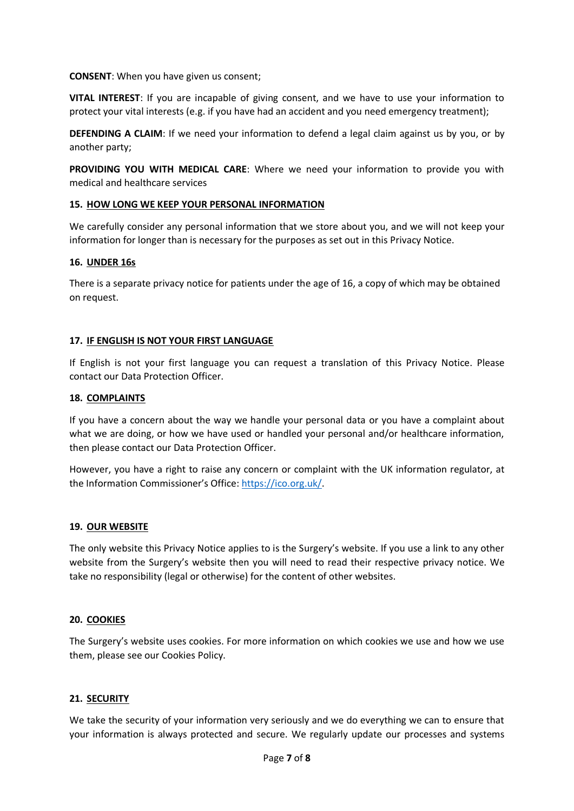**CONSENT**: When you have given us consent;

**VITAL INTEREST**: If you are incapable of giving consent, and we have to use your information to protect your vital interests (e.g. if you have had an accident and you need emergency treatment);

**DEFENDING A CLAIM**: If we need your information to defend a legal claim against us by you, or by another party;

**PROVIDING YOU WITH MEDICAL CARE**: Where we need your information to provide you with medical and healthcare services

## **15. HOW LONG WE KEEP YOUR PERSONAL INFORMATION**

We carefully consider any personal information that we store about you, and we will not keep your information for longer than is necessary for the purposes as set out in this Privacy Notice.

## **16. UNDER 16s**

There is a separate privacy notice for patients under the age of 16, a copy of which may be obtained on request.

## **17. IF ENGLISH IS NOT YOUR FIRST LANGUAGE**

If English is not your first language you can request a translation of this Privacy Notice. Please contact our Data Protection Officer.

#### **18. COMPLAINTS**

If you have a concern about the way we handle your personal data or you have a complaint about what we are doing, or how we have used or handled your personal and/or healthcare information, then please contact our Data Protection Officer.

However, you have a right to raise any concern or complaint with the UK information regulator, at the Information Commissioner's Office[: https://ico.org.uk/.](https://ico.org.uk/)

#### **19. OUR WEBSITE**

The only website this Privacy Notice applies to is the Surgery's website. If you use a link to any other website from the Surgery's website then you will need to read their respective privacy notice. We take no responsibility (legal or otherwise) for the content of other websites.

#### **20. COOKIES**

The Surgery's website uses cookies. For more information on which cookies we use and how we use them, please see our Cookies Policy.

## **21. SECURITY**

We take the security of your information very seriously and we do everything we can to ensure that your information is always protected and secure. We regularly update our processes and systems